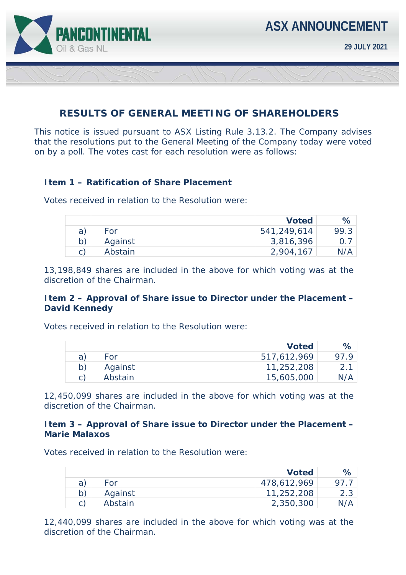

# **RESULTS OF GENERAL MEETING OF SHAREHOLDERS**

This notice is issued pursuant to ASX Listing Rule 3.13.2. The Company advises that the resolutions put to the General Meeting of the Company today were voted on by a poll. The votes cast for each resolution were as follows:

## **Item 1 – Ratification of Share Placement**

Votes received in relation to the Resolution were:

|    |         | <b>Voted</b> | $\%$ |
|----|---------|--------------|------|
| a) | For     | 541,249,614  | 99.3 |
|    | Against | 3,816,396    |      |
|    | Abstain | 2,904,167    | N/A  |

*13,198,849 shares are included in the above for which voting was at the discretion of the Chairman.* 

## **Item 2 – Approval of Share issue to Director under the Placement – David Kennedy**

Votes received in relation to the Resolution were:

|         | <b>Voted</b> | ℅ |
|---------|--------------|---|
| For     | 517,612,969  |   |
| Against | 11,252,208   |   |
| Abstain | 15,605,000   |   |

*12,450,099 shares are included in the above for which voting was at the discretion of the Chairman.* 

#### **Item 3 – Approval of Share issue to Director under the Placement – Marie Malaxos**

Votes received in relation to the Resolution were:

|         | <b>Voted</b> | $\%$ |
|---------|--------------|------|
| For     | 478,612,969  |      |
| Against | 11,252,208   | 2.3  |
| Abstain | 2,350,300    | N/A  |

*12,440,099 shares are included in the above for which voting was at the discretion of the Chairman.*